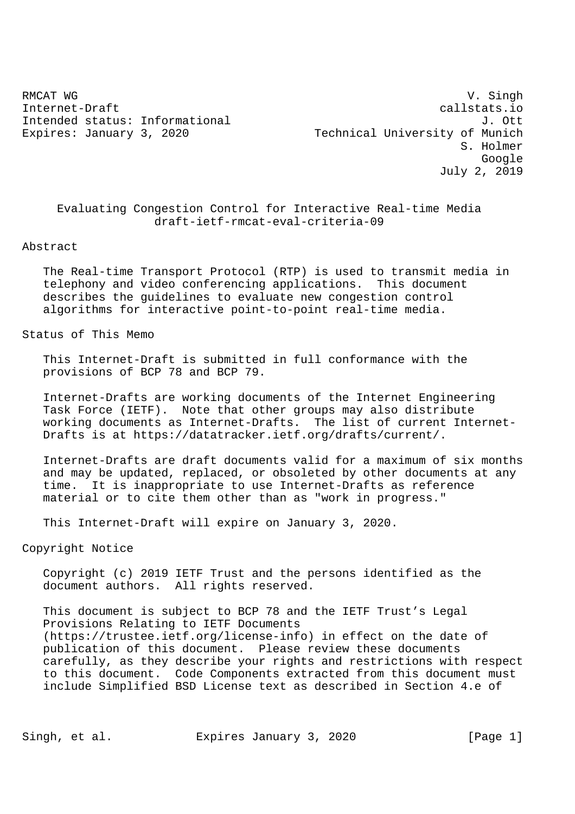RMCAT WG SINGH WAS SERVED AS A SERVED ON A STRAIGHT WAS SAFEKEEPING WAS SAFEKEEPING. Internet-Draft callstats.io Intended status: Informational J. Ott Expires: January 3, 2020 Technical University of Munich S. Holmer Google July 2, 2019

 Evaluating Congestion Control for Interactive Real-time Media draft-ietf-rmcat-eval-criteria-09

#### Abstract

 The Real-time Transport Protocol (RTP) is used to transmit media in telephony and video conferencing applications. This document describes the guidelines to evaluate new congestion control algorithms for interactive point-to-point real-time media.

Status of This Memo

 This Internet-Draft is submitted in full conformance with the provisions of BCP 78 and BCP 79.

 Internet-Drafts are working documents of the Internet Engineering Task Force (IETF). Note that other groups may also distribute working documents as Internet-Drafts. The list of current Internet- Drafts is at https://datatracker.ietf.org/drafts/current/.

 Internet-Drafts are draft documents valid for a maximum of six months and may be updated, replaced, or obsoleted by other documents at any time. It is inappropriate to use Internet-Drafts as reference material or to cite them other than as "work in progress."

This Internet-Draft will expire on January 3, 2020.

## Copyright Notice

 Copyright (c) 2019 IETF Trust and the persons identified as the document authors. All rights reserved.

 This document is subject to BCP 78 and the IETF Trust's Legal Provisions Relating to IETF Documents (https://trustee.ietf.org/license-info) in effect on the date of publication of this document. Please review these documents carefully, as they describe your rights and restrictions with respect to this document. Code Components extracted from this document must include Simplified BSD License text as described in Section 4.e of

Singh, et al. Expires January 3, 2020 [Page 1]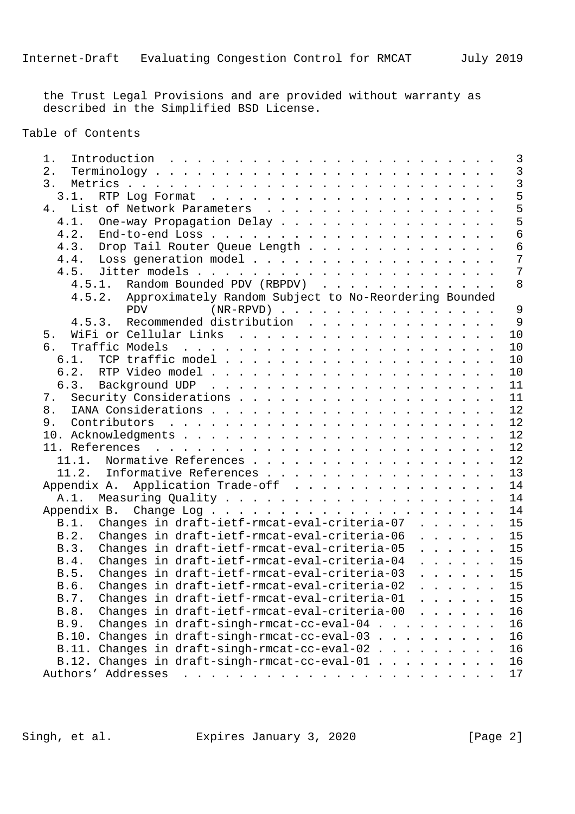the Trust Legal Provisions and are provided without warranty as described in the Simplified BSD License.

Table of Contents

| 1.                                                                                                                                                                                                                                                                                     | 3              |
|----------------------------------------------------------------------------------------------------------------------------------------------------------------------------------------------------------------------------------------------------------------------------------------|----------------|
| 2.                                                                                                                                                                                                                                                                                     | $\overline{3}$ |
| 3.                                                                                                                                                                                                                                                                                     | $\overline{3}$ |
| 3.1.                                                                                                                                                                                                                                                                                   | 5              |
| 4. List of Network Parameters                                                                                                                                                                                                                                                          | 5              |
| 4.1. One-way Propagation Delay                                                                                                                                                                                                                                                         | 5              |
| 4.2.                                                                                                                                                                                                                                                                                   | 6              |
| Drop Tail Router Queue Length<br>4.3.                                                                                                                                                                                                                                                  | 6              |
| Loss generation model<br>4.4.                                                                                                                                                                                                                                                          | 7              |
|                                                                                                                                                                                                                                                                                        | 7              |
| 4.5.1. Random Bounded PDV (RBPDV)                                                                                                                                                                                                                                                      | 8              |
| 4.5.2. Approximately Random Subject to No-Reordering Bounded                                                                                                                                                                                                                           |                |
| $(NR-RPVD)$<br><b>PDV</b>                                                                                                                                                                                                                                                              | 9              |
| 4.5.3. Recommended distribution                                                                                                                                                                                                                                                        | - 9            |
| 5.                                                                                                                                                                                                                                                                                     | 10             |
| 6.<br>Traffic Models<br>and the contract of the contract of the contract of the contract of the contract of the contract of the contract of the contract of the contract of the contract of the contract of the contract of the contract of the contra                                 | 10             |
|                                                                                                                                                                                                                                                                                        | 10             |
|                                                                                                                                                                                                                                                                                        | 10             |
|                                                                                                                                                                                                                                                                                        | 11             |
| 7.                                                                                                                                                                                                                                                                                     | 11             |
| 8.                                                                                                                                                                                                                                                                                     | 12             |
| 9.                                                                                                                                                                                                                                                                                     | 12             |
|                                                                                                                                                                                                                                                                                        | 12             |
|                                                                                                                                                                                                                                                                                        | 12             |
| 11.1. Normative References                                                                                                                                                                                                                                                             | 12             |
| 11.2. Informative References                                                                                                                                                                                                                                                           | 13             |
| Application Trade-off<br>Appendix A.                                                                                                                                                                                                                                                   | 14             |
| A.1.                                                                                                                                                                                                                                                                                   | 14             |
| Appendix B.                                                                                                                                                                                                                                                                            | 14             |
| B.1. Changes in draft-ietf-rmcat-eval-criteria-07                                                                                                                                                                                                                                      | 15             |
| Changes in draft-ietf-rmcat-eval-criteria-06<br>B.2.                                                                                                                                                                                                                                   | 15             |
| Changes in draft-ietf-rmcat-eval-criteria-05<br>$\begin{array}{cccccccccccccc} . & . & . & . & . & . & . \end{array}$<br>B.3.                                                                                                                                                          | 15             |
| Changes in draft-ietf-rmcat-eval-criteria-04<br>B.4.<br>$\mathbf{1}$ , $\mathbf{1}$ , $\mathbf{1}$ , $\mathbf{1}$ , $\mathbf{1}$                                                                                                                                                       | 15             |
| Changes in draft-ietf-rmcat-eval-criteria-03<br>B.5.<br>$\cdots$                                                                                                                                                                                                                       | 15             |
| Changes in draft-ietf-rmcat-eval-criteria-02<br>B.6.<br>and the contract of the contract of the contract of the contract of the contract of the contract of the contract of the contract of the contract of the contract of the contract of the contract of the contract of the contra | 15             |
| Changes in draft-ietf-rmcat-eval-criteria-01<br>B.7.                                                                                                                                                                                                                                   | 15             |
| Changes in draft-ietf-rmcat-eval-criteria-00<br>B.8.                                                                                                                                                                                                                                   | 16             |
| Changes in draft-singh-rmcat-cc-eval-04 $\ldots$<br>B.9.                                                                                                                                                                                                                               | 16             |
| B.10. Changes in draft-singh-rmcat-cc-eval-03                                                                                                                                                                                                                                          | 16             |
|                                                                                                                                                                                                                                                                                        |                |
| B.11. Changes in draft-singh-rmcat-cc-eval-02<br><u>na na manang mga kalendar na mga kalendar na mga kalendar na mga kalendar na mga kalendar na mga kalendar ng kalendar na kalendar na kalendar na kalendar na kalendar na kalendar na kalendar na kalendar na kalendar na kale</u>  | 16             |
| B.12. Changes in draft-singh-rmcat-cc-eval-01.                                                                                                                                                                                                                                         | 16             |
|                                                                                                                                                                                                                                                                                        | 17             |

Singh, et al. Expires January 3, 2020 [Page 2]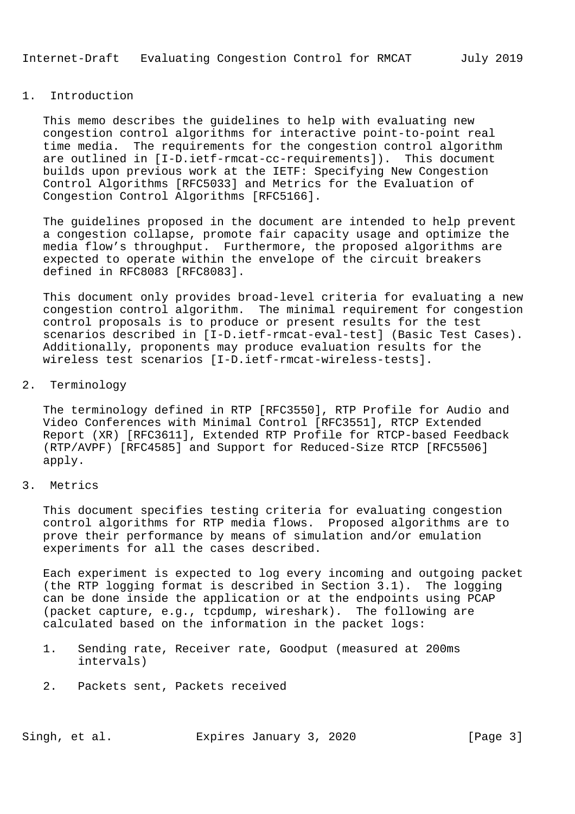### 1. Introduction

 This memo describes the guidelines to help with evaluating new congestion control algorithms for interactive point-to-point real time media. The requirements for the congestion control algorithm are outlined in [I-D.ietf-rmcat-cc-requirements]). This document builds upon previous work at the IETF: Specifying New Congestion Control Algorithms [RFC5033] and Metrics for the Evaluation of Congestion Control Algorithms [RFC5166].

 The guidelines proposed in the document are intended to help prevent a congestion collapse, promote fair capacity usage and optimize the media flow's throughput. Furthermore, the proposed algorithms are expected to operate within the envelope of the circuit breakers defined in RFC8083 [RFC8083].

 This document only provides broad-level criteria for evaluating a new congestion control algorithm. The minimal requirement for congestion control proposals is to produce or present results for the test scenarios described in [I-D.ietf-rmcat-eval-test] (Basic Test Cases). Additionally, proponents may produce evaluation results for the wireless test scenarios [I-D.ietf-rmcat-wireless-tests].

## 2. Terminology

 The terminology defined in RTP [RFC3550], RTP Profile for Audio and Video Conferences with Minimal Control [RFC3551], RTCP Extended Report (XR) [RFC3611], Extended RTP Profile for RTCP-based Feedback (RTP/AVPF) [RFC4585] and Support for Reduced-Size RTCP [RFC5506] apply.

#### 3. Metrics

 This document specifies testing criteria for evaluating congestion control algorithms for RTP media flows. Proposed algorithms are to prove their performance by means of simulation and/or emulation experiments for all the cases described.

 Each experiment is expected to log every incoming and outgoing packet (the RTP logging format is described in Section 3.1). The logging can be done inside the application or at the endpoints using PCAP (packet capture, e.g., tcpdump, wireshark). The following are calculated based on the information in the packet logs:

- 1. Sending rate, Receiver rate, Goodput (measured at 200ms intervals)
- 2. Packets sent, Packets received

Singh, et al. Expires January 3, 2020 [Page 3]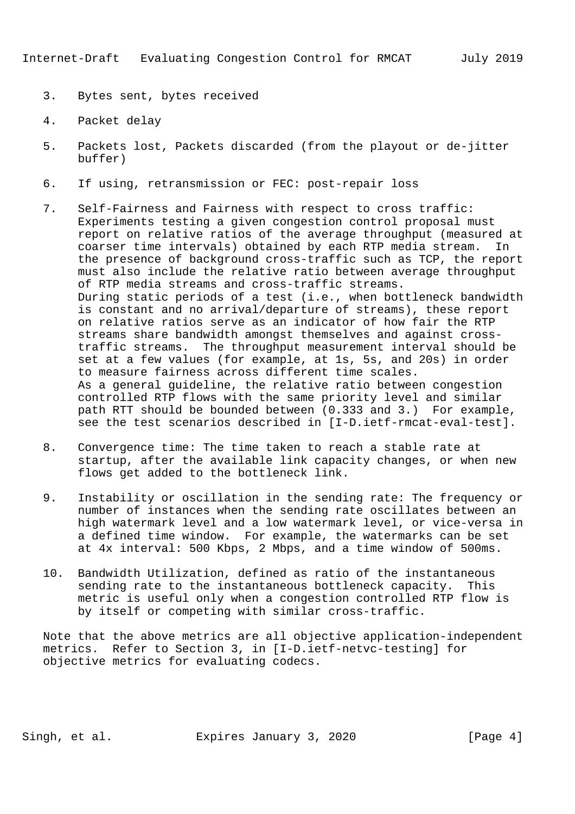- 3. Bytes sent, bytes received
- 4. Packet delay
- 5. Packets lost, Packets discarded (from the playout or de-jitter buffer)
- 6. If using, retransmission or FEC: post-repair loss
- 7. Self-Fairness and Fairness with respect to cross traffic: Experiments testing a given congestion control proposal must report on relative ratios of the average throughput (measured at coarser time intervals) obtained by each RTP media stream. In the presence of background cross-traffic such as TCP, the report must also include the relative ratio between average throughput of RTP media streams and cross-traffic streams. During static periods of a test (i.e., when bottleneck bandwidth is constant and no arrival/departure of streams), these report on relative ratios serve as an indicator of how fair the RTP streams share bandwidth amongst themselves and against cross traffic streams. The throughput measurement interval should be set at a few values (for example, at 1s, 5s, and 20s) in order to measure fairness across different time scales. As a general guideline, the relative ratio between congestion controlled RTP flows with the same priority level and similar path RTT should be bounded between (0.333 and 3.) For example, see the test scenarios described in [I-D.ietf-rmcat-eval-test].
- 8. Convergence time: The time taken to reach a stable rate at startup, after the available link capacity changes, or when new flows get added to the bottleneck link.
- 9. Instability or oscillation in the sending rate: The frequency or number of instances when the sending rate oscillates between an high watermark level and a low watermark level, or vice-versa in a defined time window. For example, the watermarks can be set at 4x interval: 500 Kbps, 2 Mbps, and a time window of 500ms.
- 10. Bandwidth Utilization, defined as ratio of the instantaneous sending rate to the instantaneous bottleneck capacity. This metric is useful only when a congestion controlled RTP flow is by itself or competing with similar cross-traffic.

 Note that the above metrics are all objective application-independent metrics. Refer to Section 3, in [I-D.ietf-netvc-testing] for objective metrics for evaluating codecs.

Singh, et al. Expires January 3, 2020 [Page 4]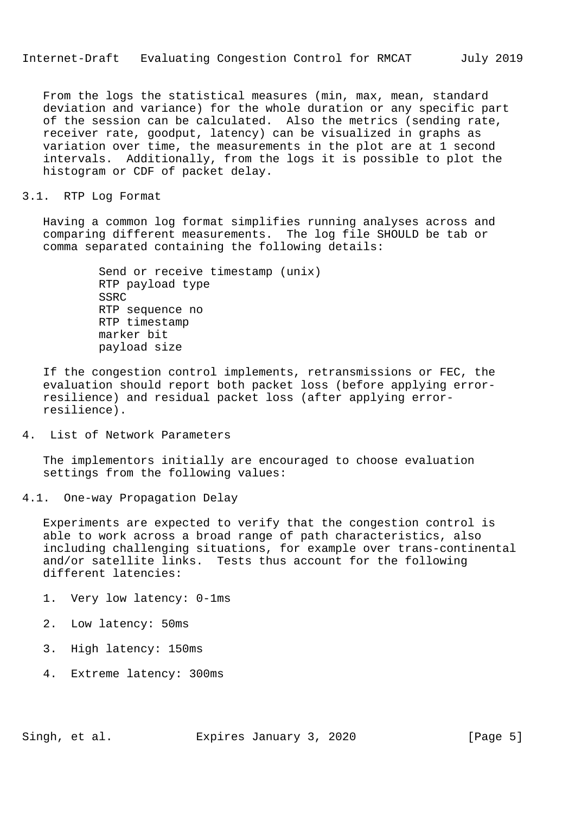From the logs the statistical measures (min, max, mean, standard deviation and variance) for the whole duration or any specific part of the session can be calculated. Also the metrics (sending rate, receiver rate, goodput, latency) can be visualized in graphs as variation over time, the measurements in the plot are at 1 second intervals. Additionally, from the logs it is possible to plot the histogram or CDF of packet delay.

# 3.1. RTP Log Format

 Having a common log format simplifies running analyses across and comparing different measurements. The log file SHOULD be tab or comma separated containing the following details:

> Send or receive timestamp (unix) RTP payload type SSRC RTP sequence no RTP timestamp marker bit payload size

 If the congestion control implements, retransmissions or FEC, the evaluation should report both packet loss (before applying error resilience) and residual packet loss (after applying error resilience).

4. List of Network Parameters

 The implementors initially are encouraged to choose evaluation settings from the following values:

4.1. One-way Propagation Delay

 Experiments are expected to verify that the congestion control is able to work across a broad range of path characteristics, also including challenging situations, for example over trans-continental and/or satellite links. Tests thus account for the following different latencies:

- 1. Very low latency: 0-1ms
- 2. Low latency: 50ms
- 3. High latency: 150ms
- 4. Extreme latency: 300ms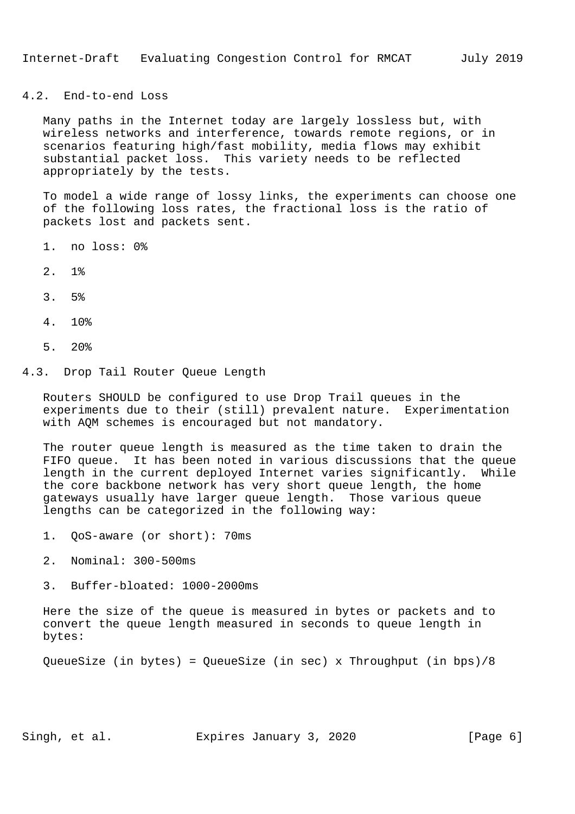## 4.2. End-to-end Loss

 Many paths in the Internet today are largely lossless but, with wireless networks and interference, towards remote regions, or in scenarios featuring high/fast mobility, media flows may exhibit substantial packet loss. This variety needs to be reflected appropriately by the tests.

 To model a wide range of lossy links, the experiments can choose one of the following loss rates, the fractional loss is the ratio of packets lost and packets sent.

- 1. no loss: 0%
- 2. 1%
- 3. 5%
- 4. 10%
- 5. 20%

#### 4.3. Drop Tail Router Queue Length

 Routers SHOULD be configured to use Drop Trail queues in the experiments due to their (still) prevalent nature. Experimentation with AQM schemes is encouraged but not mandatory.

 The router queue length is measured as the time taken to drain the FIFO queue. It has been noted in various discussions that the queue length in the current deployed Internet varies significantly. While the core backbone network has very short queue length, the home gateways usually have larger queue length. Those various queue lengths can be categorized in the following way:

- 1. QoS-aware (or short): 70ms
- 2. Nominal: 300-500ms
- 3. Buffer-bloated: 1000-2000ms

 Here the size of the queue is measured in bytes or packets and to convert the queue length measured in seconds to queue length in bytes:

QueueSize (in bytes) = QueueSize (in sec) x Throughput (in bps)/8

Singh, et al. Expires January 3, 2020 [Page 6]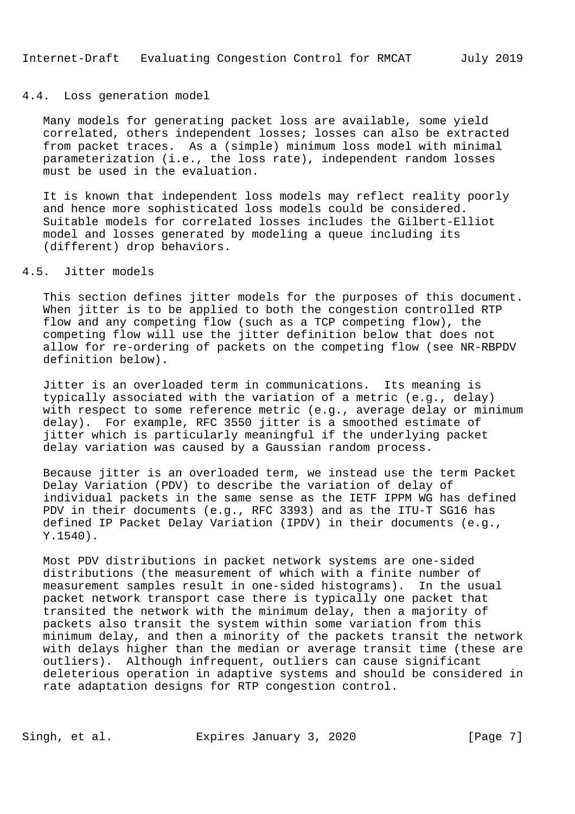#### 4.4. Loss generation model

 Many models for generating packet loss are available, some yield correlated, others independent losses; losses can also be extracted from packet traces. As a (simple) minimum loss model with minimal parameterization (i.e., the loss rate), independent random losses must be used in the evaluation.

 It is known that independent loss models may reflect reality poorly and hence more sophisticated loss models could be considered. Suitable models for correlated losses includes the Gilbert-Elliot model and losses generated by modeling a queue including its (different) drop behaviors.

## 4.5. Jitter models

 This section defines jitter models for the purposes of this document. When jitter is to be applied to both the congestion controlled RTP flow and any competing flow (such as a TCP competing flow), the competing flow will use the jitter definition below that does not allow for re-ordering of packets on the competing flow (see NR-RBPDV definition below).

 Jitter is an overloaded term in communications. Its meaning is typically associated with the variation of a metric (e.g., delay) with respect to some reference metric (e.g., average delay or minimum delay). For example, RFC 3550 jitter is a smoothed estimate of jitter which is particularly meaningful if the underlying packet delay variation was caused by a Gaussian random process.

 Because jitter is an overloaded term, we instead use the term Packet Delay Variation (PDV) to describe the variation of delay of individual packets in the same sense as the IETF IPPM WG has defined PDV in their documents (e.g., RFC 3393) and as the ITU-T SG16 has defined IP Packet Delay Variation (IPDV) in their documents (e.g., Y.1540).

 Most PDV distributions in packet network systems are one-sided distributions (the measurement of which with a finite number of measurement samples result in one-sided histograms). In the usual packet network transport case there is typically one packet that transited the network with the minimum delay, then a majority of packets also transit the system within some variation from this minimum delay, and then a minority of the packets transit the network with delays higher than the median or average transit time (these are outliers). Although infrequent, outliers can cause significant deleterious operation in adaptive systems and should be considered in rate adaptation designs for RTP congestion control.

Singh, et al. Expires January 3, 2020 [Page 7]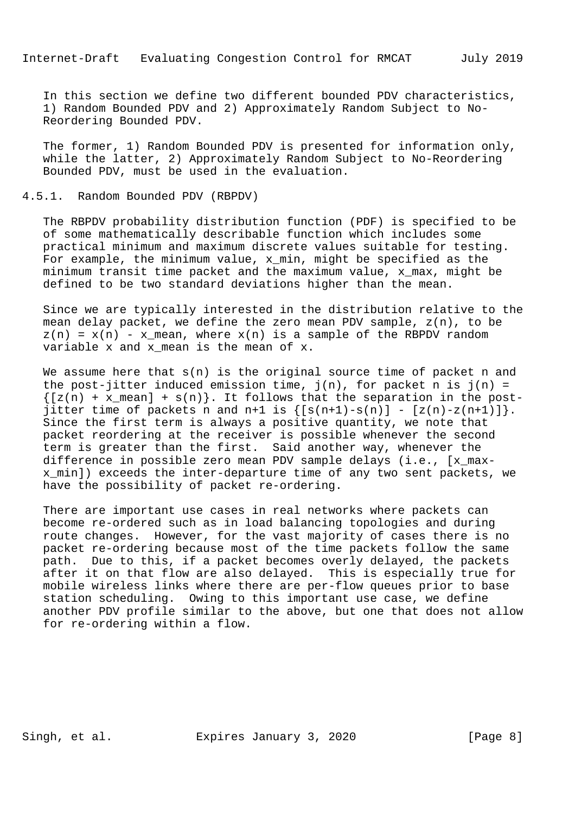In this section we define two different bounded PDV characteristics, 1) Random Bounded PDV and 2) Approximately Random Subject to No- Reordering Bounded PDV.

 The former, 1) Random Bounded PDV is presented for information only, while the latter, 2) Approximately Random Subject to No-Reordering Bounded PDV, must be used in the evaluation.

## 4.5.1. Random Bounded PDV (RBPDV)

 The RBPDV probability distribution function (PDF) is specified to be of some mathematically describable function which includes some practical minimum and maximum discrete values suitable for testing. For example, the minimum value, x min, might be specified as the minimum transit time packet and the maximum value, x\_max, might be defined to be two standard deviations higher than the mean.

 Since we are typically interested in the distribution relative to the mean delay packet, we define the zero mean PDV sample, z(n), to be  $z(n) = x(n) - x$  mean, where  $x(n)$  is a sample of the RBPDV random variable x and x mean is the mean of x.

We assume here that  $s(n)$  is the original source time of packet n and the post-jitter induced emission time,  $j(n)$ , for packet n is  $j(n)$  =  $\{[z(n) + x_mean] + s(n)\}\.$  It follows that the separation in the postjitter time of packets n and  $n+1$  is  $\{[s(n+1)-s(n)] - [z(n)-z(n+1)]\}$ . Since the first term is always a positive quantity, we note that packet reordering at the receiver is possible whenever the second term is greater than the first. Said another way, whenever the difference in possible zero mean PDV sample delays (i.e., [x\_max x\_min]) exceeds the inter-departure time of any two sent packets, we have the possibility of packet re-ordering.

 There are important use cases in real networks where packets can become re-ordered such as in load balancing topologies and during route changes. However, for the vast majority of cases there is no packet re-ordering because most of the time packets follow the same path. Due to this, if a packet becomes overly delayed, the packets after it on that flow are also delayed. This is especially true for mobile wireless links where there are per-flow queues prior to base station scheduling. Owing to this important use case, we define another PDV profile similar to the above, but one that does not allow for re-ordering within a flow.

Singh, et al. Expires January 3, 2020 [Page 8]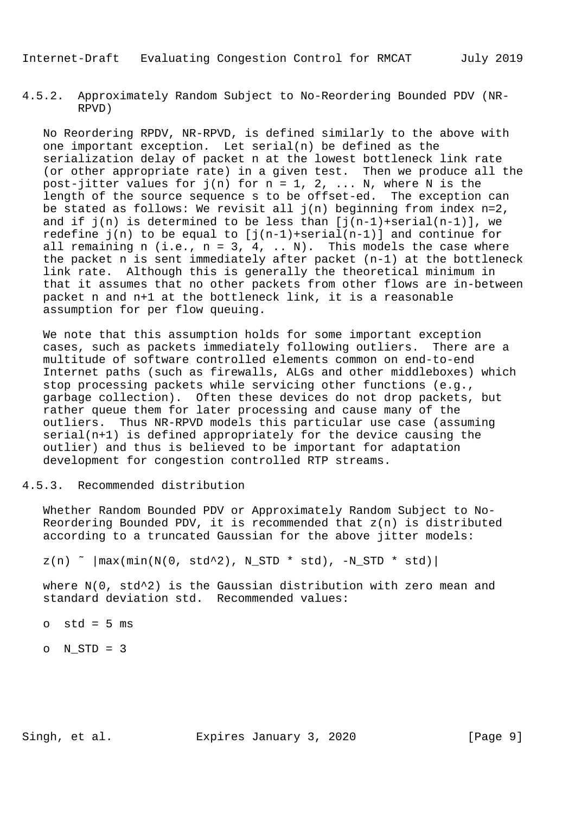4.5.2. Approximately Random Subject to No-Reordering Bounded PDV (NR- RPVD)

 No Reordering RPDV, NR-RPVD, is defined similarly to the above with one important exception. Let serial(n) be defined as the serialization delay of packet n at the lowest bottleneck link rate (or other appropriate rate) in a given test. Then we produce all the post-jitter values for j(n) for n = 1, 2, ... N, where N is the length of the source sequence s to be offset-ed. The exception can be stated as follows: We revisit all  $j(n)$  beginning from index  $n=2$ , and if  $j(n)$  is determined to be less than  $[j(n-1)+\text{serial}(n-1)]$ , we redefine  $j(n)$  to be equal to  $[j(n-1)+\text{serial}(n-1)]$  and continue for all remaining n (i.e.,  $n = 3, 4, ... N$ ). This models the case where the packet n is sent immediately after packet (n-1) at the bottleneck link rate. Although this is generally the theoretical minimum in that it assumes that no other packets from other flows are in-between packet n and n+1 at the bottleneck link, it is a reasonable assumption for per flow queuing.

 We note that this assumption holds for some important exception cases, such as packets immediately following outliers. There are a multitude of software controlled elements common on end-to-end Internet paths (such as firewalls, ALGs and other middleboxes) which stop processing packets while servicing other functions (e.g., garbage collection). Often these devices do not drop packets, but rather queue them for later processing and cause many of the outliers. Thus NR-RPVD models this particular use case (assuming serial(n+1) is defined appropriately for the device causing the outlier) and thus is believed to be important for adaptation development for congestion controlled RTP streams.

4.5.3. Recommended distribution

 Whether Random Bounded PDV or Approximately Random Subject to No- Reordering Bounded PDV, it is recommended that z(n) is distributed according to a truncated Gaussian for the above jitter models:

 $z(n)$   $\sim$   $\left|\max(\min(N(0, std^2), N\_STD * std), -N\_STD * std)\right|$ 

 where N(0, std^2) is the Gaussian distribution with zero mean and standard deviation std. Recommended values:

 $o$  std = 5  $ms$ 

o N\_STD = 3

Singh, et al. Expires January 3, 2020 [Page 9]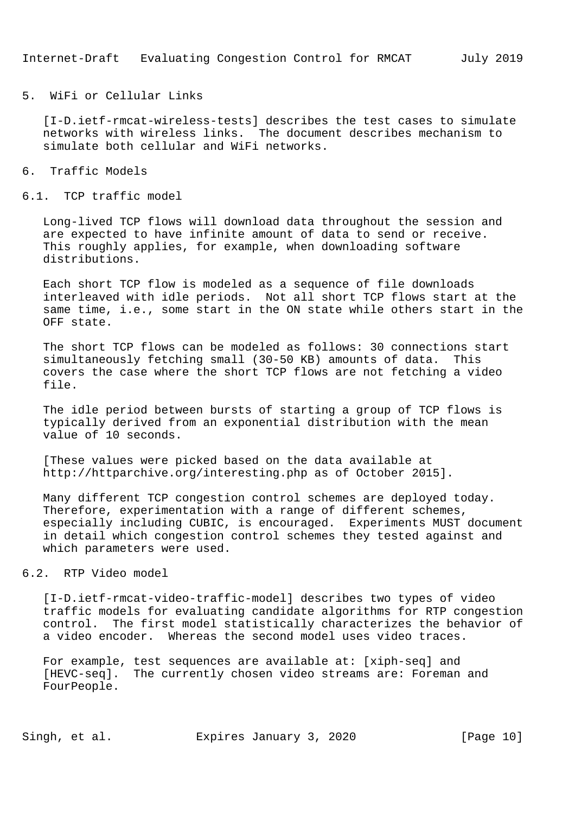5. WiFi or Cellular Links

 [I-D.ietf-rmcat-wireless-tests] describes the test cases to simulate networks with wireless links. The document describes mechanism to simulate both cellular and WiFi networks.

- 6. Traffic Models
- 6.1. TCP traffic model

 Long-lived TCP flows will download data throughout the session and are expected to have infinite amount of data to send or receive. This roughly applies, for example, when downloading software distributions.

 Each short TCP flow is modeled as a sequence of file downloads interleaved with idle periods. Not all short TCP flows start at the same time, i.e., some start in the ON state while others start in the OFF state.

 The short TCP flows can be modeled as follows: 30 connections start simultaneously fetching small (30-50 KB) amounts of data. This covers the case where the short TCP flows are not fetching a video file.

 The idle period between bursts of starting a group of TCP flows is typically derived from an exponential distribution with the mean value of 10 seconds.

 [These values were picked based on the data available at http://httparchive.org/interesting.php as of October 2015].

 Many different TCP congestion control schemes are deployed today. Therefore, experimentation with a range of different schemes, especially including CUBIC, is encouraged. Experiments MUST document in detail which congestion control schemes they tested against and which parameters were used.

#### 6.2. RTP Video model

 [I-D.ietf-rmcat-video-traffic-model] describes two types of video traffic models for evaluating candidate algorithms for RTP congestion control. The first model statistically characterizes the behavior of a video encoder. Whereas the second model uses video traces.

 For example, test sequences are available at: [xiph-seq] and [HEVC-seq]. The currently chosen video streams are: Foreman and FourPeople.

Singh, et al. Expires January 3, 2020 [Page 10]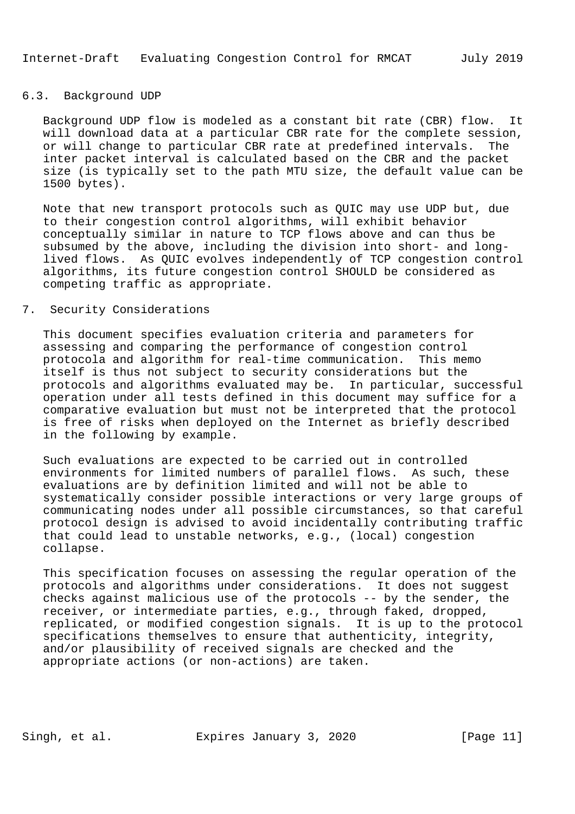## 6.3. Background UDP

 Background UDP flow is modeled as a constant bit rate (CBR) flow. It will download data at a particular CBR rate for the complete session, or will change to particular CBR rate at predefined intervals. The inter packet interval is calculated based on the CBR and the packet size (is typically set to the path MTU size, the default value can be 1500 bytes).

 Note that new transport protocols such as QUIC may use UDP but, due to their congestion control algorithms, will exhibit behavior conceptually similar in nature to TCP flows above and can thus be subsumed by the above, including the division into short- and long lived flows. As QUIC evolves independently of TCP congestion control algorithms, its future congestion control SHOULD be considered as competing traffic as appropriate.

#### 7. Security Considerations

 This document specifies evaluation criteria and parameters for assessing and comparing the performance of congestion control protocola and algorithm for real-time communication. This memo itself is thus not subject to security considerations but the protocols and algorithms evaluated may be. In particular, successful operation under all tests defined in this document may suffice for a comparative evaluation but must not be interpreted that the protocol is free of risks when deployed on the Internet as briefly described in the following by example.

 Such evaluations are expected to be carried out in controlled environments for limited numbers of parallel flows. As such, these evaluations are by definition limited and will not be able to systematically consider possible interactions or very large groups of communicating nodes under all possible circumstances, so that careful protocol design is advised to avoid incidentally contributing traffic that could lead to unstable networks, e.g., (local) congestion collapse.

 This specification focuses on assessing the regular operation of the protocols and algorithms under considerations. It does not suggest checks against malicious use of the protocols -- by the sender, the receiver, or intermediate parties, e.g., through faked, dropped, replicated, or modified congestion signals. It is up to the protocol specifications themselves to ensure that authenticity, integrity, and/or plausibility of received signals are checked and the appropriate actions (or non-actions) are taken.

Singh, et al. Expires January 3, 2020 [Page 11]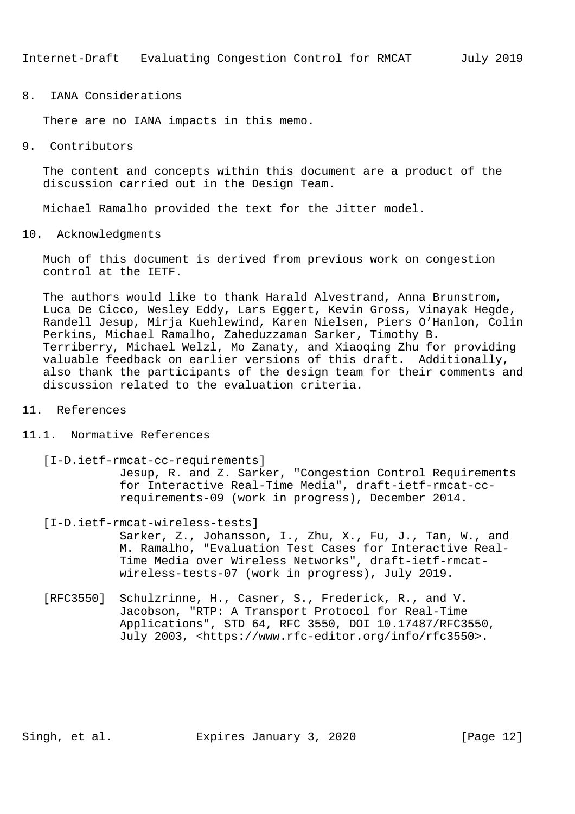8. IANA Considerations

There are no IANA impacts in this memo.

9. Contributors

 The content and concepts within this document are a product of the discussion carried out in the Design Team.

Michael Ramalho provided the text for the Jitter model.

10. Acknowledgments

 Much of this document is derived from previous work on congestion control at the IETF.

 The authors would like to thank Harald Alvestrand, Anna Brunstrom, Luca De Cicco, Wesley Eddy, Lars Eggert, Kevin Gross, Vinayak Hegde, Randell Jesup, Mirja Kuehlewind, Karen Nielsen, Piers O'Hanlon, Colin Perkins, Michael Ramalho, Zaheduzzaman Sarker, Timothy B. Terriberry, Michael Welzl, Mo Zanaty, and Xiaoqing Zhu for providing valuable feedback on earlier versions of this draft. Additionally, also thank the participants of the design team for their comments and discussion related to the evaluation criteria.

- 11. References
- 11.1. Normative References

[I-D.ietf-rmcat-cc-requirements]

 Jesup, R. and Z. Sarker, "Congestion Control Requirements for Interactive Real-Time Media", draft-ietf-rmcat-cc requirements-09 (work in progress), December 2014.

[I-D.ietf-rmcat-wireless-tests]

 Sarker, Z., Johansson, I., Zhu, X., Fu, J., Tan, W., and M. Ramalho, "Evaluation Test Cases for Interactive Real- Time Media over Wireless Networks", draft-ietf-rmcat wireless-tests-07 (work in progress), July 2019.

 [RFC3550] Schulzrinne, H., Casner, S., Frederick, R., and V. Jacobson, "RTP: A Transport Protocol for Real-Time Applications", STD 64, RFC 3550, DOI 10.17487/RFC3550, July 2003, <https://www.rfc-editor.org/info/rfc3550>.

Singh, et al. Expires January 3, 2020 [Page 12]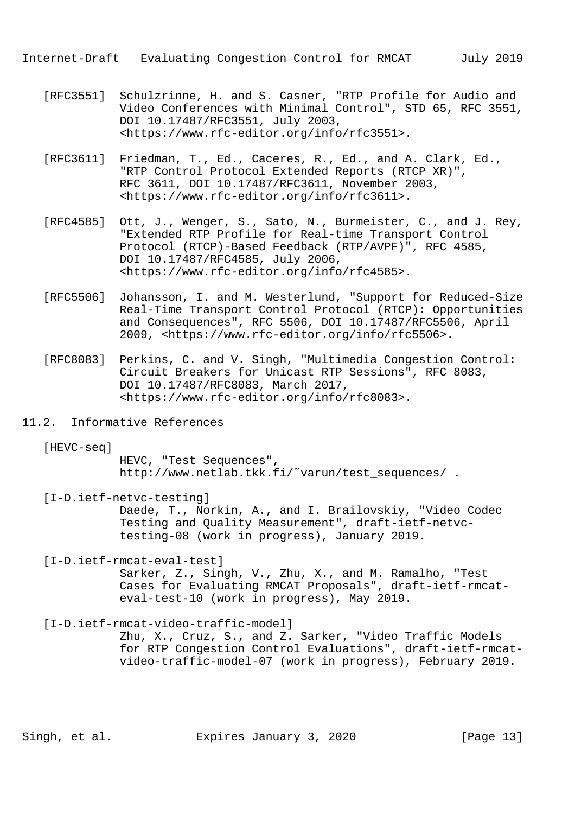- [RFC3551] Schulzrinne, H. and S. Casner, "RTP Profile for Audio and Video Conferences with Minimal Control", STD 65, RFC 3551, DOI 10.17487/RFC3551, July 2003, <https://www.rfc-editor.org/info/rfc3551>.
- [RFC3611] Friedman, T., Ed., Caceres, R., Ed., and A. Clark, Ed., "RTP Control Protocol Extended Reports (RTCP XR)", RFC 3611, DOI 10.17487/RFC3611, November 2003, <https://www.rfc-editor.org/info/rfc3611>.
- [RFC4585] Ott, J., Wenger, S., Sato, N., Burmeister, C., and J. Rey, "Extended RTP Profile for Real-time Transport Control Protocol (RTCP)-Based Feedback (RTP/AVPF)", RFC 4585, DOI 10.17487/RFC4585, July 2006, <https://www.rfc-editor.org/info/rfc4585>.
- [RFC5506] Johansson, I. and M. Westerlund, "Support for Reduced-Size Real-Time Transport Control Protocol (RTCP): Opportunities and Consequences", RFC 5506, DOI 10.17487/RFC5506, April 2009, <https://www.rfc-editor.org/info/rfc5506>.
- [RFC8083] Perkins, C. and V. Singh, "Multimedia Congestion Control: Circuit Breakers for Unicast RTP Sessions", RFC 8083, DOI 10.17487/RFC8083, March 2017, <https://www.rfc-editor.org/info/rfc8083>.
- 11.2. Informative References
	- [HEVC-seq]

 HEVC, "Test Sequences", http://www.netlab.tkk.fi/˜varun/test\_sequences/ .

[I-D.ietf-netvc-testing]

 Daede, T., Norkin, A., and I. Brailovskiy, "Video Codec Testing and Quality Measurement", draft-ietf-netvc testing-08 (work in progress), January 2019.

[I-D.ietf-rmcat-eval-test]

 Sarker, Z., Singh, V., Zhu, X., and M. Ramalho, "Test Cases for Evaluating RMCAT Proposals", draft-ietf-rmcat eval-test-10 (work in progress), May 2019.

[I-D.ietf-rmcat-video-traffic-model]

 Zhu, X., Cruz, S., and Z. Sarker, "Video Traffic Models for RTP Congestion Control Evaluations", draft-ietf-rmcat video-traffic-model-07 (work in progress), February 2019.

Singh, et al. Expires January 3, 2020 [Page 13]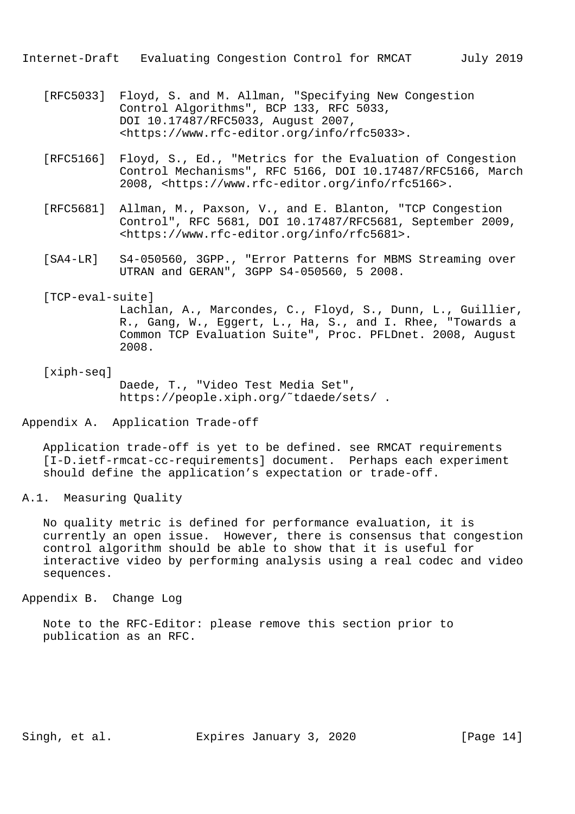- [RFC5033] Floyd, S. and M. Allman, "Specifying New Congestion Control Algorithms", BCP 133, RFC 5033, DOI 10.17487/RFC5033, August 2007, <https://www.rfc-editor.org/info/rfc5033>.
- [RFC5166] Floyd, S., Ed., "Metrics for the Evaluation of Congestion Control Mechanisms", RFC 5166, DOI 10.17487/RFC5166, March 2008, <https://www.rfc-editor.org/info/rfc5166>.
- [RFC5681] Allman, M., Paxson, V., and E. Blanton, "TCP Congestion Control", RFC 5681, DOI 10.17487/RFC5681, September 2009, <https://www.rfc-editor.org/info/rfc5681>.
- [SA4-LR] S4-050560, 3GPP., "Error Patterns for MBMS Streaming over UTRAN and GERAN", 3GPP S4-050560, 5 2008.

## [TCP-eval-suite]

 Lachlan, A., Marcondes, C., Floyd, S., Dunn, L., Guillier, R., Gang, W., Eggert, L., Ha, S., and I. Rhee, "Towards a Common TCP Evaluation Suite", Proc. PFLDnet. 2008, August 2008.

### [xiph-seq] Daede, T., "Video Test Media Set",

https://people.xiph.org/˜tdaede/sets/ .

#### Appendix A. Application Trade-off

 Application trade-off is yet to be defined. see RMCAT requirements [I-D.ietf-rmcat-cc-requirements] document. Perhaps each experiment should define the application's expectation or trade-off.

A.1. Measuring Quality

 No quality metric is defined for performance evaluation, it is currently an open issue. However, there is consensus that congestion control algorithm should be able to show that it is useful for interactive video by performing analysis using a real codec and video sequences.

Appendix B. Change Log

 Note to the RFC-Editor: please remove this section prior to publication as an RFC.

Singh, et al. Expires January 3, 2020 [Page 14]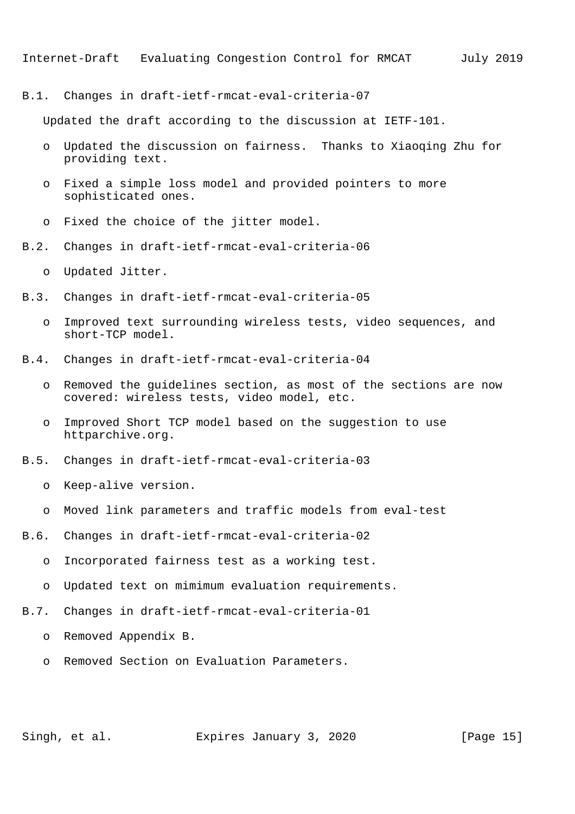B.1. Changes in draft-ietf-rmcat-eval-criteria-07

Updated the draft according to the discussion at IETF-101.

- o Updated the discussion on fairness. Thanks to Xiaoqing Zhu for providing text.
- o Fixed a simple loss model and provided pointers to more sophisticated ones.
- o Fixed the choice of the jitter model.
- B.2. Changes in draft-ietf-rmcat-eval-criteria-06
	- o Updated Jitter.
- B.3. Changes in draft-ietf-rmcat-eval-criteria-05
	- o Improved text surrounding wireless tests, video sequences, and short-TCP model.
- B.4. Changes in draft-ietf-rmcat-eval-criteria-04
	- o Removed the guidelines section, as most of the sections are now covered: wireless tests, video model, etc.
	- o Improved Short TCP model based on the suggestion to use httparchive.org.
- B.5. Changes in draft-ietf-rmcat-eval-criteria-03
	- o Keep-alive version.
	- o Moved link parameters and traffic models from eval-test
- B.6. Changes in draft-ietf-rmcat-eval-criteria-02
	- o Incorporated fairness test as a working test.
	- o Updated text on mimimum evaluation requirements.
- B.7. Changes in draft-ietf-rmcat-eval-criteria-01
	- o Removed Appendix B.
	- o Removed Section on Evaluation Parameters.

Singh, et al. Expires January 3, 2020 [Page 15]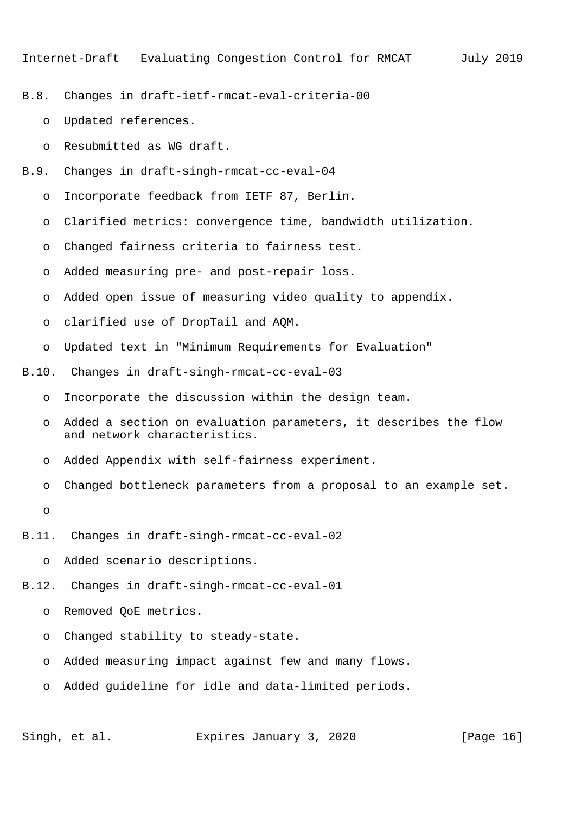- B.8. Changes in draft-ietf-rmcat-eval-criteria-00
	- o Updated references.
	- o Resubmitted as WG draft.
- B.9. Changes in draft-singh-rmcat-cc-eval-04
	- o Incorporate feedback from IETF 87, Berlin.
	- o Clarified metrics: convergence time, bandwidth utilization.
	- o Changed fairness criteria to fairness test.
	- o Added measuring pre- and post-repair loss.
	- o Added open issue of measuring video quality to appendix.
	- o clarified use of DropTail and AQM.
	- o Updated text in "Minimum Requirements for Evaluation"
- B.10. Changes in draft-singh-rmcat-cc-eval-03
	- o Incorporate the discussion within the design team.
	- o Added a section on evaluation parameters, it describes the flow and network characteristics.
	- o Added Appendix with self-fairness experiment.
	- o Changed bottleneck parameters from a proposal to an example set.
	- o

B.11. Changes in draft-singh-rmcat-cc-eval-02

o Added scenario descriptions.

B.12. Changes in draft-singh-rmcat-cc-eval-01

- o Removed QoE metrics.
- o Changed stability to steady-state.
- o Added measuring impact against few and many flows.
- o Added guideline for idle and data-limited periods.

Singh, et al. Expires January 3, 2020 [Page 16]